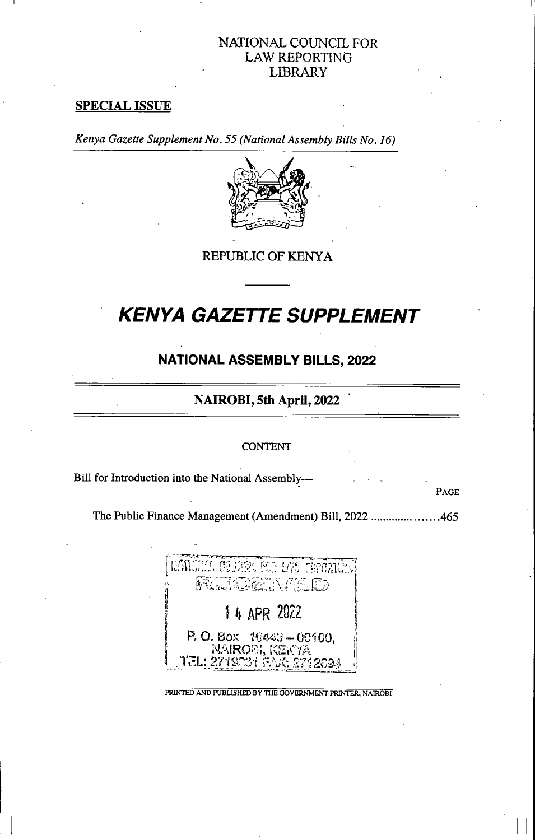# NATIONAL COUNCIL FOR LAW REPORTING LIBRARY

## SPECIAL ISSUE

I

Kenya Gazette Supplement No. 55 (National Assembly Bills No. 16)



REPUBLIC OF KENYA

# **KENYA GAZETTE SUPPLEMENT**

# NATIONAL ASSEMBLY BILLS, 2022

# NAIROBI, 5th April, 2022

#### **CONTENT**

Bill for Introduction into the National Assembly—

The Public Finance Management (Amendment) Bill, 2022 ......................465

PAGE



PRINTED AND PUBLISHED BY THE GOVERNMENT PRINTER, NAIROBI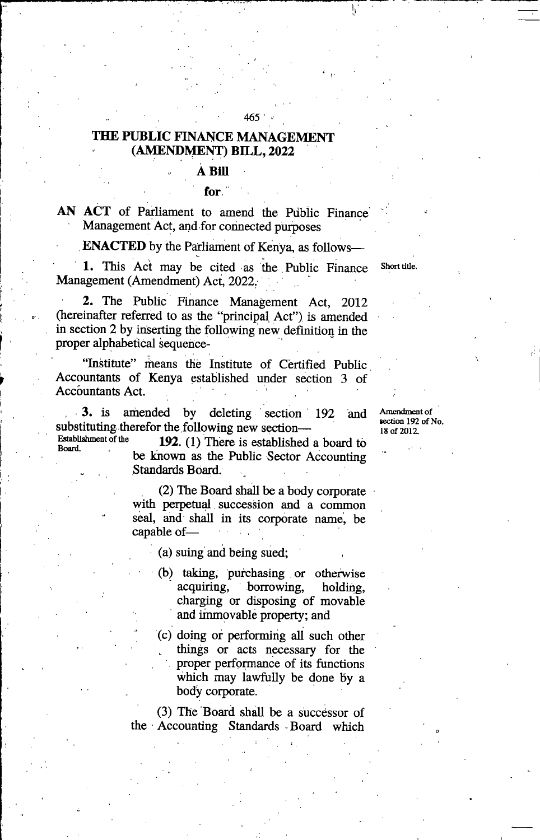## THE PUBLIC FINANCE MANAGEMENT (AMENDMENT) BILL, 2022

## **A Bill**

#### for.

AN ACT of Parliament to amend the Public Finance Management Act, and for connected purposes

**ENACTED** by the Parliament of Kenya, as follows-

1. This Act may be cited as the Public Finance Management (Amendment) Act, 2022. Short title

2. The Public Finance Management Act, 2012 (hereinafter referred to as the "principal Act") is amended in section 2 by inserting the following new definition in the proper alphabetical sequence-

"Institute" means the Institute of Certified Public Accountants of Kenya established under section 3 of Accountants Act.

r

Board.

3. is amended by deleting section 192 and substituting therefor the following new section—<br>Establishment of the  $102$  (1) There is established

Amendment of section 192 of No. 18 of 2012

192. (1) There is established a board to be known as the Public Sector Accounting Standards Board.

(2) The Board shall be a body corporate with perpetual succession and a common seal, and shall in its corporate name, be capable of—

(a) suing and being sued;

- (b) taking, purchasing or otherwise<br>acquiring, borrowing, holding, acquiring, borrowing, charging or disposing of movable and immovable property; and
- (c) doing or performing all such other things or acts necessary for the proper performance of its functions which may lawfully be done by a body corporate.

(3) The Board shall be a successor of the Accounting Standards Board which

#### $\sim$  465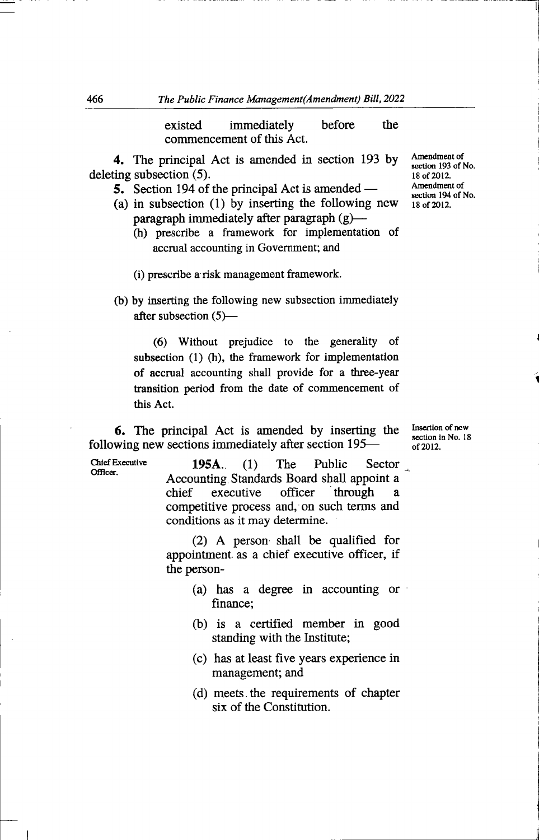existed immediately before the commencement of this Act.

4. The principal Act is amended in section 193 by deleting subsection (5).

- 5. Section 194 of the principal Act is amended —
- (a) in subsection (1) by inserting the following new paragraph immediately after paragraph  $(g)$ —
	- (h) prescribe a framework for implementation of accrual accounting in Government; and

(i) prescribe a risk management framework.

(b) by inserting the following new subsection immediately after subsection  $(5)$ —

(6) Without prejudice to the generahty of subsection (1) (h), the framework for implementation of accrual accounting shall provide for a three-year transition period from the date of commencement of this Act.

6. The principal Act is amended by inserting the following new sections immediately after section 195—

Chief Executive Officer.

195A. (1) The Public Sector Accounting Standards Board shall appoint a<br>chief executive officer through a chief executive officer through a competitive process and, on such terms and conditions as it may determine.

(2) A person shall be qualified for appointment as a chief executive officer, if the person-

- (a) has a degree in accounting or finance;
- (b) is a certified member in good standing with the Institute;
- (c) has at least five years experience in management; and
- (d) meets the requirements of chapter six of the Constitution.

Amendment of section 193 of No. 18 of 20 12. Amendment of section 194 of No. 18 of 20 12.

Insertion of new section in No. 18 of 20 12.

 $\ddot{\phantom{0}}$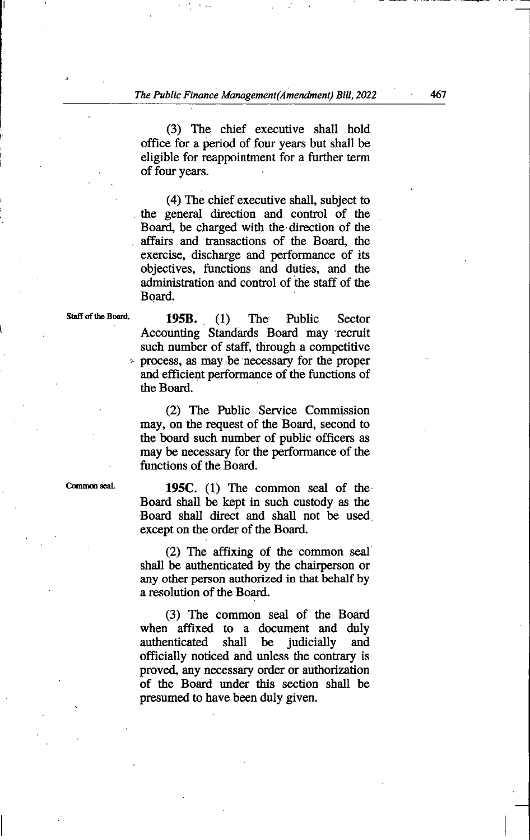(3) The chief executive shall hold office for a period of four years but shall be eligible for reappointment for a further term of four years.

 $(4)$  The chief executive shall, subject to the general direction and control of the Board, be charged with the direction of the , affairs and transactions of the Board, the exercise, discharge and performance of its obj ectives, functions and duties, and the administration and control of the staff of the Board.

195B. (1) The Public Sector Accounting Standards Board may recruit such number of staff, through a competitive process, as may be necessary for the proper and efficient performance of the functions of the Board.

(2) The Public Service Commission may, on the request of the Board, second to the board such number of public officers as may be necessary for the performance of the functions of the Board.

195C. (1) The common seal of the Board shall be kept in such custody as the Board shall direct and shall not be used except on the order of the Board.

 $(2)$  The affixing of the common seal shall be authenticated by the chairperson or any other person authorized in that behalf by a resolution of the Board.

(3) The common seal of the Board when affixed to a document and duly<br>authenticated shall be judicially and be judicially officially noticed and unless the contrary is proved, any necessary order or authorization of the Board under this section shall be presumed to have been duly given.

Staff of the Board.

I

Common seal.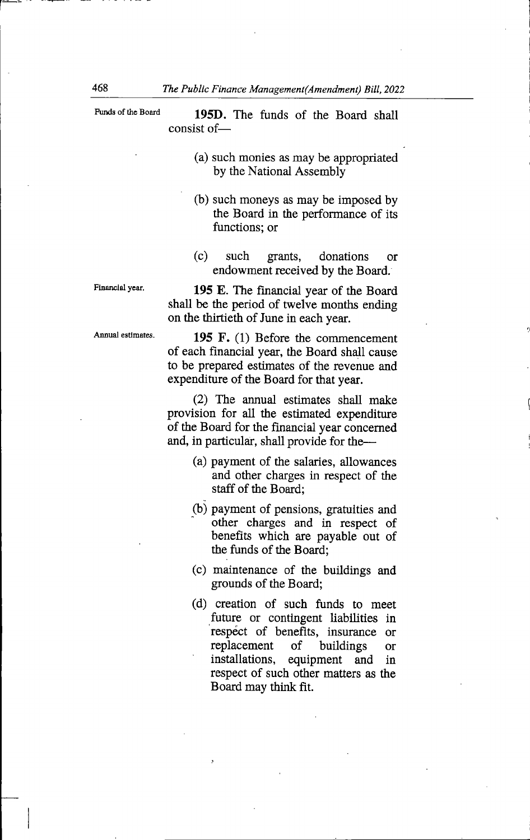| Funds of the Board | 195D. The funds of the Board shall<br>consist of—                                                                                                                             |
|--------------------|-------------------------------------------------------------------------------------------------------------------------------------------------------------------------------|
|                    | (a) such monies as may be appropriated<br>by the National Assembly                                                                                                            |
|                    | (b) such moneys as may be imposed by<br>the Board in the performance of its<br>functions; or                                                                                  |
|                    | $(c)$ such<br>grants, donations<br>$\alpha$<br>endowment received by the Board.                                                                                               |
| Financial year.    | 195 E. The financial year of the Board<br>shall be the period of twelve months ending<br>on the thirtieth of June in each year.                                               |
| Annual estimates.  | 195 F. (1) Before the commencement<br>of each financial year, the Board shall cause<br>to be prepared estimates of the revenue and<br>expenditure of the Board for that year. |

(2) The annual estimates shall make provision for all the estimated expenditure of the Board for the financial year concerned and, in particular, shall provide for the—

- (a) payment of the salaries, allowances and other charges in respect of the staff of the Board;
- (b) payment of pensions, gratuities and other charges and in respect of benefits which are payable out of the funds of the Board;
- (c) maintenance of the buildings and grounds of the Board;
- (d) creation of such funds to meet future or contingent liabilities in respect of benefits, insurance or<br>replacement of buildings or replacement of buildings or<br>installations, equipment and in equipment and in respect of such other matters as the Board may think fit.

r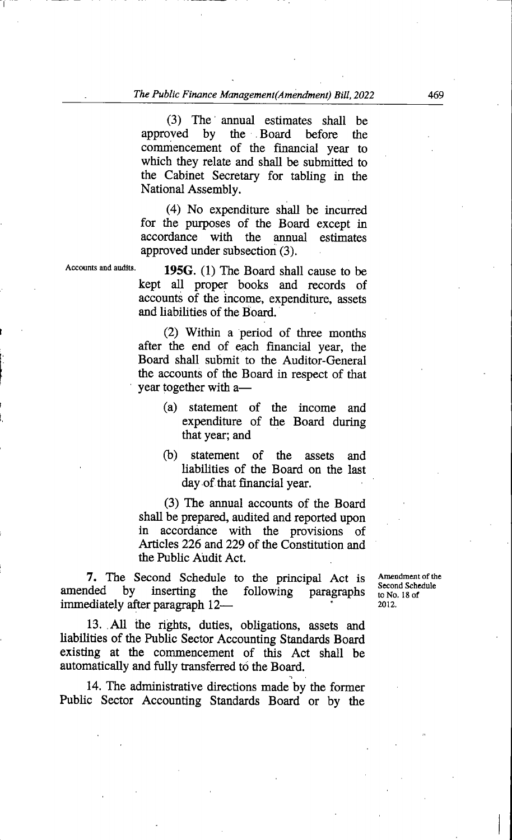(3) The annual estimates shall be<br>approved by the Board before the by the Board before the commencement of the financial year to which they relate and shall be submitted to the Cabinet Secretary for tabling in the National Assembly.

(4) No expenditure shall be incurred for the purposes of the Board except in accordance with the annual estimates approved under subsection (3).

Accounts and audite.

I

I

195G.  $(1)$  The Board shall cause to be kept all proper books and records of accounts of the income, expenditure, assets and liabilities of the Board.

(2) Within a period of three months after the end of each financial year, the Board shall submit to the Auditor-General the accounts of the Board in respect of that year together with a—

- (a) statement of the income and expenditure of the Board during that year; and
- (b) statement of the assets and liabilities of the Board on the last day of that financial year.

(3) The annual accounts of the Board shall be prepared, audited and reported upon<br>in accordance with the provisions of accordance with the provisions of Articles 226 and 229 of the Constitution and the Public Audit Act.

7. The Second Schedule to the principal Act is amended by inserting the following paragraphs inserting the following immediately after paragraph 12—

Amendment of the Second Schedule to No. 18 of 20 12.

13. All the rights, duties, obligations, assets and liabilities of the Public Sector Accounting Standards Board existing at the commencement of this Act shall be automatically and fully transferred to the Board.

14. The administrative directions made by the former Public Sector Accounting Standards Board or by the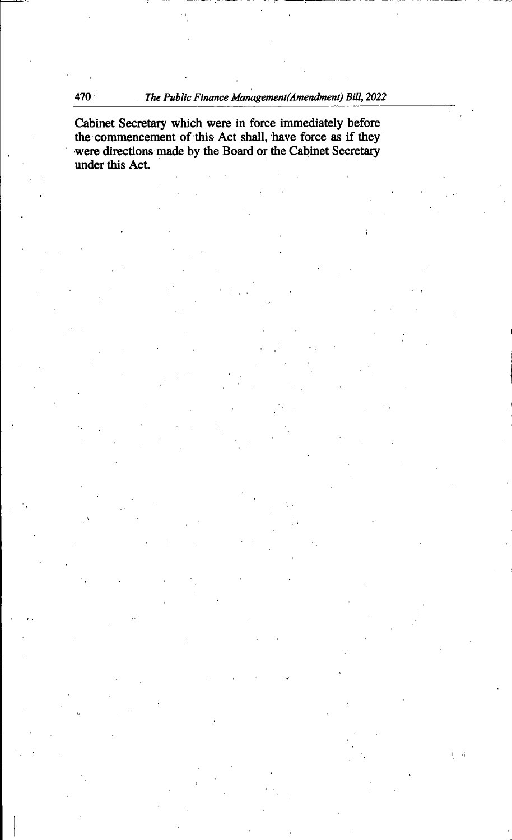$\eta$   $\lambda$ 

Cabinet Secretary which were in force immediately before the commencement of this Act shall, have force as if they were directions made by the Board or the Cabinet Secretary under this Act.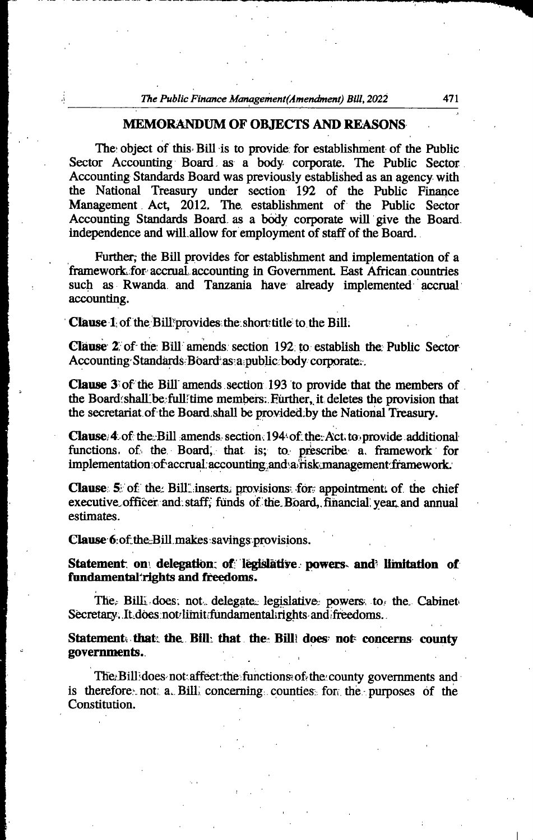#### MEMORANDUM OF OBJECTS AND REASONS

The object of this Bill is to provide for establishment of the Public Sector Accounting Board as a body corporate. The Public Sector Accounting Standards Board was previously established as an agency with the National Treasury under section 192 of the Public Finance Management Act, 2012, The. establishment of the Public Sector Accounting Standards Board, as a body corporate will give the Board independence and will allow for employment of staff of the Board.

Further; the Bill provides for establishment and implementation of a framework for accrual accounting in Government. East African countries such as Rwanda and Tanzania have already implemented accrual accounting.

**Clause 1** of the Bill provides the short title to the Bill.

**Clause 2**, of the Bill amends section  $192$  to establish the Public Sector Accounting Standards Board as a public body corporate.

**Clause**  $3$  of the Bill amends section 193 to provide that the members of the Board/shall be full time members; Further, it deletes the provision that the secretariat of the Board shall be provided by the National Treasury.

**Clause.** 4. of the Bill amends, section.  $194$  of the Act. to provide additional functions, of the Board, that is; to prescribe a framework for implementation;of accrual accounting and a risk management framework.

**Clause:**  $5$  of the Bill inserts. provisions for appointment of the chief executive officer and staff, funds of the Board, financial year and annual estimates.

Clause 6: of the Bill makes savings provisions.

Statement: on: delegation: of: legislative. powers. and limitation of fundamental rights and freedoms.

The  $\epsilon$  Bill<sub>i</sub> does; not delegate legislative powers to the Cabinet Secretary. It does not limit fundamental rights and freedoms.

Statement that the Bill that the Bill does not concerns county governments..

The Bill does not affect the functions of the county governments and is therefore, not; a. Bill, concerning; counties: for, the purposes of the Constitution.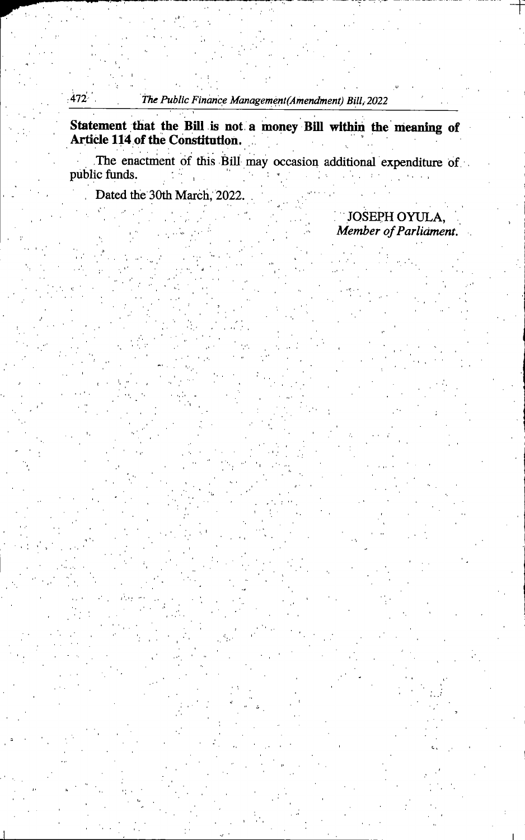Statement that the Bill is not a money Bill within the meaning of Article 114 of the Constitution.

The enactment of this Bill may occasion additional expenditure of public funds.

Dated the 30th March, 2022.

JOSEPH OYULA, Member of Parliament.

i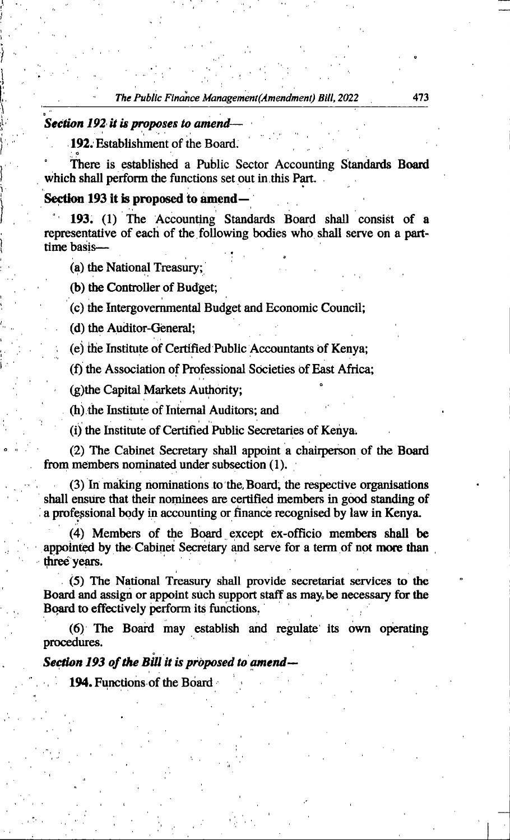## Section 192 it is proposes to amend-

o

)

I,

V

192. Establishment of the Board.

There is established a Public Sector Accounting Standards Board which shall perform the functions set out in this Part.

## Section 193 it is proposed to amend—

193. (1) The Accounting Standards Board shall consist of a representative of each of the following bodies who shall serve on a part time basis-

(a) the Nationd Treasury;

(b) the Controller of Budget;

(c) the Intergovernmental Budget and Economic Council;

(d) the Auditor-General:

(e) the Institute of Certified Public Accountants of Kenya;

(f) the Association of Professional Societies of East Africa;

(g)the Capital Markets Authority;

(h) the Institute of Internal Auditors; and

(i) the Institute of Certified Public Secretaries of Kenya.

^ (2) The Cabinet Secretary shaU appoint a chairperson of the B oard from members nominated under subsection (1).

(3) In making nominations to the.Board, the respective organi sations shall ensure that their nominees are certified members in good standing of a professional body in accounting or finance recognised by law in Kenya.

(4) Members of the Board except ex-officio members shall be appointed by the Cabinet Secretary and serve for a term of not more than three years.

 $(5)$  The National Treasury shall provide secretariat services to the Board and assign or appoint such support staff as may,be necessary for the Board to effectively perform its functions.

(6) The Board may establish and regulate its own operating procedures.

Section 193 of the Bill it is proposed to amend—

194. Functions of the Board